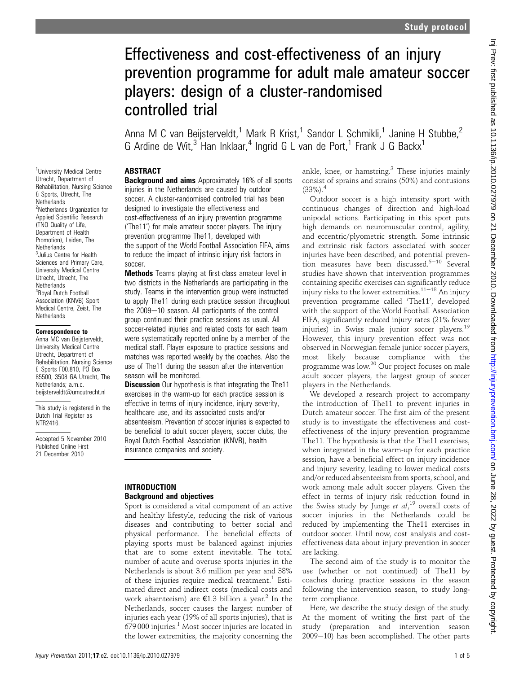# Effectiveness and cost-effectiveness of an injury prevention programme for adult male amateur soccer players: design of a cluster-randomised controlled trial

Anna M C van Beijsterveldt.<sup>1</sup> Mark R Krist.<sup>1</sup> Sandor L Schmikli.<sup>1</sup> Janine H Stubbe.<sup>2</sup> G Ardine de Wit,<sup>3</sup> Han Inklaar,<sup>4</sup> Ingrid G L van de Port,<sup>1</sup> Frank J G Backx<sup>1</sup>

## **ABSTRACT**

**Background and aims** Approximately 16% of all sports injuries in the Netherlands are caused by outdoor soccer. A cluster-randomised controlled trial has been designed to investigate the effectiveness and cost-effectiveness of an injury prevention programme ('The11') for male amateur soccer players. The injury prevention programme The11, developed with the support of the World Football Association FIFA, aims to reduce the impact of intrinsic injury risk factors in soccer.

Methods Teams playing at first-class amateur level in two districts in the Netherlands are participating in the study. Teams in the intervention group were instructed to apply The11 during each practice session throughout the 2009-10 season. All participants of the control group continued their practice sessions as usual. All soccer-related injuries and related costs for each team were systematically reported online by a member of the medical staff. Player exposure to practice sessions and matches was reported weekly by the coaches. Also the use of The11 during the season after the intervention season will be monitored.

**Discussion** Our hypothesis is that integrating the The11 exercises in the warm-up for each practice session is effective in terms of injury incidence, injury severity, healthcare use, and its associated costs and/or absenteeism. Prevention of soccer injuries is expected to be beneficial to adult soccer players, soccer clubs, the Royal Dutch Football Association (KNVB), health insurance companies and society.

## INTRODUCTION Background and objectives

Sport is considered a vital component of an active and healthy lifestyle, reducing the risk of various diseases and contributing to better social and physical performance. The beneficial effects of playing sports must be balanced against injuries that are to some extent inevitable. The total number of acute and overuse sports injuries in the Netherlands is about 3.6 million per year and 38% of these injuries require medical treatment.<sup>1</sup> Estimated direct and indirect costs (medical costs and work absenteeism) are  $\epsilon$ 1.3 billion a year.<sup>2</sup> In the Netherlands, soccer causes the largest number of injuries each year (19% of all sports injuries), that is  $679\,000$  injuries.<sup>1</sup> Most soccer injuries are located in the lower extremities, the majority concerning the ankle, knee, or hamstring.<sup>3</sup> These injuries mainly consist of sprains and strains (50%) and contusions  $(33\%)$ <sup>4</sup>

Outdoor soccer is a high intensity sport with continuous changes of direction and high-load unipodal actions. Participating in this sport puts high demands on neuromuscular control, agility, and eccentric/plyometric strength. Some intrinsic and extrinsic risk factors associated with soccer injuries have been described, and potential prevention measures have been discussed.<sup>5-10</sup> Several studies have shown that intervention programmes containing specific exercises can significantly reduce injury risks to the lower extremities. $11-18$  An injury prevention programme called 'The11', developed with the support of the World Football Association FIFA, significantly reduced injury rates (21% fewer injuries) in Swiss male junior soccer players. $^{19}$ However, this injury prevention effect was not observed in Norwegian female junior soccer players, most likely because compliance with the programme was low.<sup>20</sup> Our project focuses on male adult soccer players, the largest group of soccer players in the Netherlands.

We developed a research project to accompany the introduction of The11 to prevent injuries in Dutch amateur soccer. The first aim of the present study is to investigate the effectiveness and costeffectiveness of the injury prevention programme The11. The hypothesis is that the The11 exercises, when integrated in the warm-up for each practice session, have a beneficial effect on injury incidence and injury severity, leading to lower medical costs and/or reduced absenteeism from sports, school, and work among male adult soccer players. Given the effect in terms of injury risk reduction found in the Swiss study by Junge et  $al$ ,<sup>19</sup> overall costs of soccer injuries in the Netherlands could be reduced by implementing the The11 exercises in outdoor soccer. Until now, cost analysis and costeffectiveness data about injury prevention in soccer are lacking.

The second aim of the study is to monitor the use (whether or not continued) of The11 by coaches during practice sessions in the season following the intervention season, to study longterm compliance.

Here, we describe the study design of the study. At the moment of writing the first part of the study (preparation and intervention season  $2009-10$ ) has been accomplished. The other parts

<sup>1</sup>University Medical Centre Utrecht, Department of Rehabilitation, Nursing Science & Sports, Utrecht, The **Netherlands** 2 Netherlands Organization for Applied Scientific Research (TNO Quality of Life, Department of Health Promotion), Leiden, The **Netherlands** <sup>3</sup> Julius Centre for Health Sciences and Primary Care, University Medical Centre Utrecht, Utrecht, The **Netherlands** 4 Royal Dutch Football Association (KNVB) Sport Medical Centre, Zeist, The **Netherlands** 

#### Correspondence to

Anna MC van Beijsterveldt, University Medical Centre Utrecht, Department of Rehabilitation, Nursing Science & Sports F00.810, PO Box 85500, 3508 GA Utrecht, The Netherlands; a.m.c. beijsterveldt@umcutrecht.nl

This study is registered in the Dutch Trial Register as NTR2416.

Accepted 5 November 2010 Published Online First 21 December 2010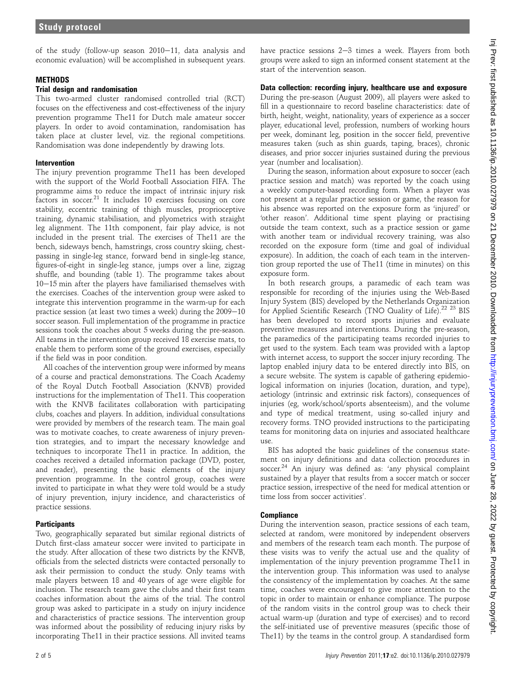of the study (follow-up season  $2010-11$ , data analysis and economic evaluation) will be accomplished in subsequent years.

#### **METHODS**

#### Trial design and randomisation

This two-armed cluster randomised controlled trial (RCT) focuses on the effectiveness and cost-effectiveness of the injury prevention programme The11 for Dutch male amateur soccer players. In order to avoid contamination, randomisation has taken place at cluster level, viz. the regional competitions. Randomisation was done independently by drawing lots.

#### Intervention

The injury prevention programme The11 has been developed with the support of the World Football Association FIFA. The programme aims to reduce the impact of intrinsic injury risk  $factors$  in soccer.<sup>21</sup> It includes 10 exercises focusing on core stability, eccentric training of thigh muscles, proprioceptive training, dynamic stabilisation, and plyometrics with straight leg alignment. The 11th component, fair play advice, is not included in the present trial. The exercises of The11 are the bench, sideways bench, hamstrings, cross country skiing, chestpassing in single-leg stance, forward bend in single-leg stance, figures-of-eight in single-leg stance, jumps over a line, zigzag shuffle, and bounding (table 1). The programme takes about  $10-15$  min after the players have familiarised themselves with the exercises. Coaches of the intervention group were asked to integrate this intervention programme in the warm-up for each practice session (at least two times a week) during the  $2009-10$ soccer season. Full implementation of the programme in practice sessions took the coaches about 5 weeks during the pre-season. All teams in the intervention group received 18 exercise mats, to enable them to perform some of the ground exercises, especially if the field was in poor condition.

All coaches of the intervention group were informed by means of a course and practical demonstrations. The Coach Academy of the Royal Dutch Football Association (KNVB) provided instructions for the implementation of The11. This cooperation with the KNVB facilitates collaboration with participating clubs, coaches and players. In addition, individual consultations were provided by members of the research team. The main goal was to motivate coaches, to create awareness of injury prevention strategies, and to impart the necessary knowledge and techniques to incorporate The11 in practice. In addition, the coaches received a detailed information package (DVD, poster, and reader), presenting the basic elements of the injury prevention programme. In the control group, coaches were invited to participate in what they were told would be a study of injury prevention, injury incidence, and characteristics of practice sessions.

## **Participants**

Two, geographically separated but similar regional districts of Dutch first-class amateur soccer were invited to participate in the study. After allocation of these two districts by the KNVB, officials from the selected districts were contacted personally to ask their permission to conduct the study. Only teams with male players between 18 and 40 years of age were eligible for inclusion. The research team gave the clubs and their first team coaches information about the aims of the trial. The control group was asked to participate in a study on injury incidence and characteristics of practice sessions. The intervention group was informed about the possibility of reducing injury risks by incorporating The11 in their practice sessions. All invited teams have practice sessions  $2-3$  times a week. Players from both groups were asked to sign an informed consent statement at the start of the intervention season.

## Data collection: recording injury, healthcare use and exposure

During the pre-season (August 2009), all players were asked to fill in a questionnaire to record baseline characteristics: date of birth, height, weight, nationality, years of experience as a soccer player, educational level, profession, numbers of working hours per week, dominant leg, position in the soccer field, preventive measures taken (such as shin guards, taping, braces), chronic diseases, and prior soccer injuries sustained during the previous year (number and localisation).

During the season, information about exposure to soccer (each practice session and match) was reported by the coach using a weekly computer-based recording form. When a player was not present at a regular practice session or game, the reason for his absence was reported on the exposure form as 'injured' or 'other reason'. Additional time spent playing or practising outside the team context, such as a practice session or game with another team or individual recovery training, was also recorded on the exposure form (time and goal of individual exposure). In addition, the coach of each team in the intervention group reported the use of The11 (time in minutes) on this exposure form.

In both research groups, a paramedic of each team was responsible for recording of the injuries using the Web-Based Injury System (BIS) developed by the Netherlands Organization for Applied Scientific Research (TNO Quality of Life).<sup>22</sup> <sup>23</sup> BIS has been developed to record sports injuries and evaluate preventive measures and interventions. During the pre-season, the paramedics of the participating teams recorded injuries to get used to the system. Each team was provided with a laptop with internet access, to support the soccer injury recording. The laptop enabled injury data to be entered directly into BIS, on a secure website. The system is capable of gathering epidemiological information on injuries (location, duration, and type), aetiology (intrinsic and extrinsic risk factors), consequences of injuries (eg, work/school/sports absenteeism), and the volume and type of medical treatment, using so-called injury and recovery forms. TNO provided instructions to the participating teams for monitoring data on injuries and associated healthcare use.

BIS has adopted the basic guidelines of the consensus statement on injury definitions and data collection procedures in soccer.<sup>24</sup> An injury was defined as: 'any physical complaint sustained by a player that results from a soccer match or soccer practice session, irrespective of the need for medical attention or time loss from soccer activities'.

## **Compliance**

During the intervention season, practice sessions of each team, selected at random, were monitored by independent observers and members of the research team each month. The purpose of these visits was to verify the actual use and the quality of implementation of the injury prevention programme The11 in the intervention group. This information was used to analyse the consistency of the implementation by coaches. At the same time, coaches were encouraged to give more attention to the topic in order to maintain or enhance compliance. The purpose of the random visits in the control group was to check their actual warm-up (duration and type of exercises) and to record the self-initiated use of preventive measures (specific those of The11) by the teams in the control group. A standardised form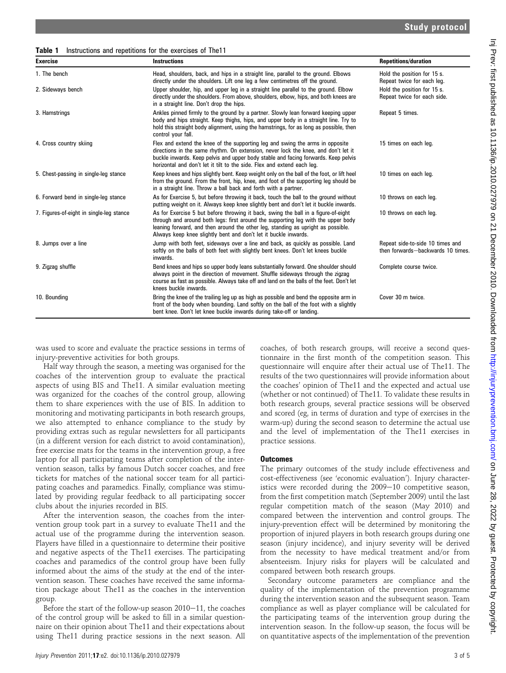Table 1 Instructions and repetitions for the exercises of The11

| <b>Exercise</b>                          | <b>Instructions</b>                                                                                                                                                                                                                                                                                                                  | <b>Repetitions/duration</b>                                          |
|------------------------------------------|--------------------------------------------------------------------------------------------------------------------------------------------------------------------------------------------------------------------------------------------------------------------------------------------------------------------------------------|----------------------------------------------------------------------|
| 1. The bench                             | Head, shoulders, back, and hips in a straight line, parallel to the ground. Elbows<br>directly under the shoulders. Lift one leg a few centimetres off the ground.                                                                                                                                                                   | Hold the position for 15 s.<br>Repeat twice for each leg.            |
| 2. Sideways bench                        | Upper shoulder, hip, and upper leg in a straight line parallel to the ground. Elbow<br>directly under the shoulders. From above, shoulders, elbow, hips, and both knees are<br>in a straight line. Don't drop the hips.                                                                                                              | Hold the position for 15 s.<br>Repeat twice for each side.           |
| 3. Hamstrings                            | Ankles pinned firmly to the ground by a partner. Slowly lean forward keeping upper<br>body and hips straight. Keep thighs, hips, and upper body in a straight line. Try to<br>hold this straight body alignment, using the hamstrings, for as long as possible, then<br>control your fall.                                           | Repeat 5 times.                                                      |
| 4. Cross country skiing                  | Flex and extend the knee of the supporting leg and swing the arms in opposite<br>directions in the same rhythm. On extension, never lock the knee, and don't let it<br>buckle inwards. Keep pelvis and upper body stable and facing forwards. Keep pelvis<br>horizontal and don't let it tilt to the side. Flex and extend each leg. | 15 times on each leg.                                                |
| 5. Chest-passing in single-leg stance    | Keep knees and hips slightly bent. Keep weight only on the ball of the foot, or lift heel<br>from the ground. From the front, hip, knee, and foot of the supporting leg should be<br>in a straight line. Throw a ball back and forth with a partner.                                                                                 | 10 times on each leg.                                                |
| 6. Forward bend in single-leg stance     | As for Exercise 5, but before throwing it back, touch the ball to the ground without<br>putting weight on it. Always keep knee slightly bent and don't let it buckle inwards.                                                                                                                                                        | 10 throws on each leg.                                               |
| 7. Figures-of-eight in single-leg stance | As for Exercise 5 but before throwing it back, swing the ball in a figure-of-eight<br>through and around both legs: first around the supporting leg with the upper body<br>leaning forward, and then around the other leg, standing as upright as possible.<br>Always keep knee slightly bent and don't let it buckle inwards.       | 10 throws on each leg.                                               |
| 8. Jumps over a line                     | Jump with both feet, sideways over a line and back, as quickly as possible. Land<br>softly on the balls of both feet with slightly bent knees. Don't let knees buckle<br>inwards.                                                                                                                                                    | Repeat side-to-side 10 times and<br>then forwards-backwards 10 times |
| 9. Zigzag shuffle                        | Bend knees and hips so upper body leans substantially forward. One shoulder should<br>always point in the direction of movement. Shuffle sideways through the zigzag<br>course as fast as possible. Always take off and land on the balls of the feet. Don't let<br>knees buckle inwards.                                            | Complete course twice.                                               |
| 10. Bounding                             | Bring the knee of the trailing leg up as high as possible and bend the opposite arm in<br>front of the body when bounding. Land softly on the ball of the foot with a slightly<br>bent knee. Don't let knee buckle inwards during take-off or landing.                                                                               | Cover 30 m twice.                                                    |

was used to score and evaluate the practice sessions in terms of injury-preventive activities for both groups.

Half way through the season, a meeting was organised for the coaches of the intervention group to evaluate the practical aspects of using BIS and The11. A similar evaluation meeting was organized for the coaches of the control group, allowing them to share experiences with the use of BIS. In addition to monitoring and motivating participants in both research groups, we also attempted to enhance compliance to the study by providing extras such as regular newsletters for all participants (in a different version for each district to avoid contamination), free exercise mats for the teams in the intervention group, a free laptop for all participating teams after completion of the intervention season, talks by famous Dutch soccer coaches, and free tickets for matches of the national soccer team for all participating coaches and paramedics. Finally, compliance was stimulated by providing regular feedback to all participating soccer clubs about the injuries recorded in BIS.

After the intervention season, the coaches from the intervention group took part in a survey to evaluate The11 and the actual use of the programme during the intervention season. Players have filled in a questionnaire to determine their positive and negative aspects of the The11 exercises. The participating coaches and paramedics of the control group have been fully informed about the aims of the study at the end of the intervention season. These coaches have received the same information package about The11 as the coaches in the intervention group.

Before the start of the follow-up season  $2010-11$ , the coaches of the control group will be asked to fill in a similar questionnaire on their opinion about The11 and their expectations about using The11 during practice sessions in the next season. All coaches, of both research groups, will receive a second questionnaire in the first month of the competition season. This questionnaire will enquire after their actual use of The11. The results of the two questionnaires will provide information about the coaches' opinion of The11 and the expected and actual use (whether or not continued) of The11. To validate these results in both research groups, several practice sessions will be observed and scored (eg, in terms of duration and type of exercises in the warm-up) during the second season to determine the actual use and the level of implementation of the The11 exercises in practice sessions.

## **Outcomes**

The primary outcomes of the study include effectiveness and cost-effectiveness (see 'economic evaluation'). Injury characteristics were recorded during the  $2009-10$  competitive season, from the first competition match (September 2009) until the last regular competition match of the season (May 2010) and compared between the intervention and control groups. The injury-prevention effect will be determined by monitoring the proportion of injured players in both research groups during one season (injury incidence), and injury severity will be derived from the necessity to have medical treatment and/or from absenteeism. Injury risks for players will be calculated and compared between both research groups.

Secondary outcome parameters are compliance and the quality of the implementation of the prevention programme during the intervention season and the subsequent season. Team compliance as well as player compliance will be calculated for the participating teams of the intervention group during the intervention season. In the follow-up season, the focus will be on quantitative aspects of the implementation of the prevention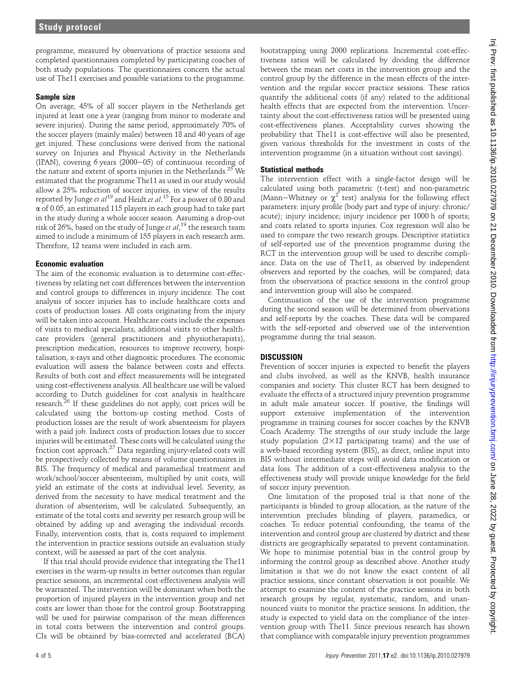programme, measured by observations of practice sessions and completed questionnaires completed by participating coaches of both study populations. The questionnaires concern the actual use of The11 exercises and possible variations to the programme.

## Sample size

On average, 45% of all soccer players in the Netherlands get injured at least one a year (ranging from minor to moderate and severe injuries). During the same period, approximately 70% of the soccer players (mainly males) between 18 and 40 years of age get injured. These conclusions were derived from the national survey on Injuries and Physical Activity in the Netherlands (IPAN), covering 6 years (2000-05) of continuous recording of the nature and extent of sports injuries in the Netherlands.<sup>25</sup> We estimated that the programme The11 as used in our study would allow a 25% reduction of soccer injuries, in view of the results reported by Junge *et al* <sup>19</sup> and Heidt *et al* .<sup>15</sup> For a power of 0.80 and a of 0.05, an estimated 115 players in each group had to take part in the study during a whole soccer season. Assuming a drop-out risk of 26%, based on the study of Junge *et al*,  $^{19}$  the research team aimed to include a minimum of 155 players in each research arm. Therefore, 12 teams were included in each arm.

## Economic evaluation

The aim of the economic evaluation is to determine cost-effectiveness by relating net cost differences between the intervention and control groups to differences in injury incidence. The cost analysis of soccer injuries has to include healthcare costs and costs of production losses. All costs originating from the injury will be taken into account. Healthcare costs include the expenses of visits to medical specialists, additional visits to other healthcare providers (general practitioners and physiotherapists), prescription medication, resources to improve recovery, hospitalisation, x-rays and other diagnostic procedures. The economic evaluation will assess the balance between costs and effects. Results of both cost and effect measurements will be integrated using cost-effectiveness analysis. All healthcare use will be valued according to Dutch guidelines for cost analysis in healthcare research.<sup>26</sup> If these guidelines do not apply, cost prices will be calculated using the bottom-up costing method. Costs of production losses are the result of work absenteeism for players with a paid job. Indirect costs of production losses due to soccer injuries will be estimated. These costs will be calculated using the friction cost approach.<sup>27</sup> Data regarding injury-related costs will be prospectively collected by means of volume questionnaires in BIS. The frequency of medical and paramedical treatment and work/school/soccer absenteeism, multiplied by unit costs, will yield an estimate of the costs at individual level. Severity, as derived from the necessity to have medical treatment and the duration of absenteeism, will be calculated. Subsequently, an estimate of the total costs and severity per research group will be obtained by adding up and averaging the individual records. Finally, intervention costs, that is, costs required to implement the intervention in practice sessions outside an evaluation study context, will be assessed as part of the cost analysis.

If this trial should provide evidence that integrating the The11 exercises in the warm-up results in better outcomes than regular practice sessions, an incremental cost-effectiveness analysis will be warranted. The intervention will be dominant when both the proportion of injured players in the intervention group and net costs are lower than those for the control group. Bootstrapping will be used for pairwise comparison of the mean differences in total costs between the intervention and control groups. CIs will be obtained by bias-corrected and accelerated (BCA)

bootstrapping using 2000 replications. Incremental cost-effectiveness ratios will be calculated by dividing the difference between the mean net costs in the intervention group and the control group by the difference in the mean effects of the intervention and the regular soccer practice sessions. These ratios quantify the additional costs (if any) related to the additional health effects that are expected from the intervention. Uncertainty about the cost-effectiveness ratios will be presented using cost-effectiveness planes. Acceptability curves showing the probability that The11 is cost-effective will also be presented, given various thresholds for the investment in costs of the intervention programme (in a situation without cost savings).

# Statistical methods

The intervention effect with a single-factor design will be calculated using both parametric (t-test) and non-parametric (Mann–Whitney or  $\chi^2$  test) analysis for the following effect parameters: injury profile (body part and type of injury: chronic/ acute); injury incidence; injury incidence per 1000 h of sports; and costs related to sports injuries. Cox regression will also be used to compare the two research groups. Descriptive statistics of self-reported use of the prevention programme during the RCT in the intervention group will be used to describe compliance. Data on the use of The11, as observed by independent observers and reported by the coaches, will be compared; data from the observations of practice sessions in the control group and intervention group will also be compared.

Continuation of the use of the intervention programme during the second season will be determined from observations and self-reports by the coaches. These data will be compared with the self-reported and observed use of the intervention programme during the trial season.

## **DISCUSSION**

Prevention of soccer injuries is expected to benefit the players and clubs involved, as well as the KNVB, health insurance companies and society. This cluster RCT has been designed to evaluate the effects of a structured injury prevention programme in adult male amateur soccer. If positive, the findings will support extensive implementation of the intervention programme in training courses for soccer coaches by the KNVB Coach Academy. The strengths of our study include the large study population  $(2\times12$  participating teams) and the use of a web-based recording system (BIS), as direct, online input into BIS without intermediate steps will avoid data modification or data loss. The addition of a cost-effectiveness analysis to the effectiveness study will provide unique knowledge for the field of soccer injury prevention.

One limitation of the proposed trial is that none of the participants is blinded to group allocation, as the nature of the intervention precludes blinding of players, paramedics, or coaches. To reduce potential confounding, the teams of the intervention and control group are clustered by district and these districts are geographically separated to prevent contamination. We hope to minimise potential bias in the control group by informing the control group as described above. Another study limitation is that we do not know the exact content of all practice sessions, since constant observation is not possible. We attempt to examine the content of the practice sessions in both research groups by regular, systematic, random, and unannounced visits to monitor the practice sessions. In addition, the study is expected to yield data on the compliance of the intervention group with The11. Since previous research has shown that compliance with comparable injury prevention programmes